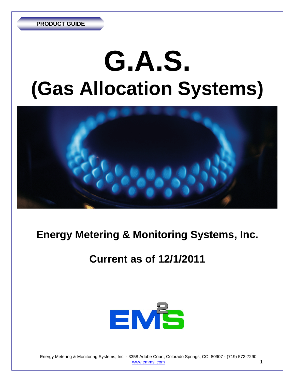# **G.A.S. (Gas Allocation Systems)**



# **Energy Metering & Monitoring Systems, Inc.**

# **Current as of 12/1/2011**



 Energy Metering & Monitoring Systems, Inc. - 3358 Adobe Court, Colorado Springs, CO 80907 - (719) 572-7290 www.emmsi.com 1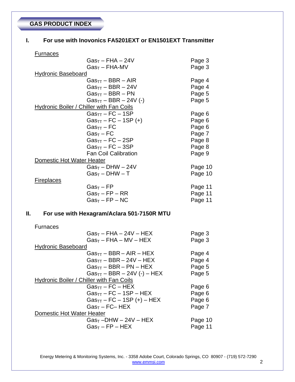## **GAS PRODUCT INDEX**

#### **I. For use with Inovonics FA5201EXT or EN1501EXT Transmitter**

#### **Furnaces**

|                           | $Gas_T - FHA - 24V$                             | Page 3  |
|---------------------------|-------------------------------------------------|---------|
|                           | Gas <sub>t</sub> – FHA-MV                       | Page 3  |
| <b>Hydronic Baseboard</b> |                                                 |         |
|                           | Gas <sub>TT</sub> – BBR – AIR                   | Page 4  |
|                           | Gas <sub>TT</sub> – BBR – 24V                   | Page 4  |
|                           | $GasTT - BBR - PN$                              | Page 5  |
|                           | $Gas_{TT} - BBR - 24V$ (-)                      | Page 5  |
|                           | <b>Hydronic Boiler / Chiller with Fan Coils</b> |         |
|                           | $Gas_{TT}$ – FC – 1SP                           | Page 6  |
|                           | $Gas_{TT} - FC - 1SP (+)$                       | Page 6  |
|                           | Gas $_{\sf TT}$ – FC                            | Page 6  |
|                           | $GasT - FC$                                     | Page 7  |
|                           | $Gas_{TT}$ – FC – 2SP                           | Page 8  |
|                           | $Gas_{TT}$ – FC – 3SP                           | Page 8  |
|                           | <b>Fan Coil Calibration</b>                     | Page 9  |
| Domestic Hot Water Heater |                                                 |         |
|                           | $GasT - DHW - 24V$                              | Page 10 |
|                           | $GasT - DHW - T$                                | Page 10 |
| <b>Fireplaces</b>         |                                                 |         |
|                           | Gas $_{\sf T}$ – FP                             | Page 11 |
|                           | Gas $_{\sf T}$ – FP – RR                        | Page 11 |
|                           | $Gas_T - FP - NC$                               | Page 11 |
|                           |                                                 |         |

#### **II. For use with Hexagram/Aclara 501-7150R MTU**

#### Furnaces

| $Gas_T - FHA - 24V - HEX$                | Page 3  |
|------------------------------------------|---------|
| $Gas_T - FHA - MV - HEX$                 | Page 3  |
| <b>Hydronic Baseboard</b>                |         |
| $Gas_{TT}$ – BBR – AIR – HEX             | Page 4  |
| $Gas_{TT}$ – BBR – 24V – HEX             | Page 4  |
| $Gas_{TT}$ – BBR – PN – HEX              | Page 5  |
| $Gas_{TT}$ – BBR – 24V (-) – HEX         | Page 5  |
| Hydronic Boiler / Chiller with Fan Coils |         |
| $Gas_{TT}$ – FC – HEX                    | Page 6  |
| $Gas_{TT}$ – FC – 1SP – HEX              | Page 6  |
| $Gas_{TT}$ – FC – 1SP (+) – HEX          | Page 6  |
| $GasT - FC- HEX$                         | Page 7  |
| Domestic Hot Water Heater                |         |
| $GasT$ –DHW – 24V – HEX                  | Page 10 |
| $Gas_T - FP - HEX$                       | Page 11 |
|                                          |         |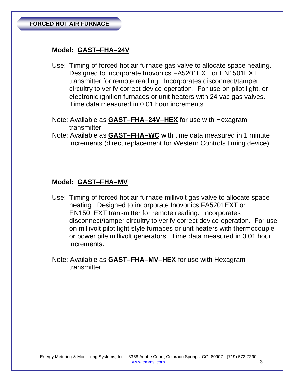# **Model: GAST–FHA–24V**

- Use: Timing of forced hot air furnace gas valve to allocate space heating. Designed to incorporate Inovonics FA5201EXT or EN1501EXT transmitter for remote reading. Incorporates disconnect/tamper circuitry to verify correct device operation. For use on pilot light, or electronic ignition furnaces or unit heaters with 24 vac gas valves. Time data measured in 0.01 hour increments.
- Note: Available as **GAST–FHA–24V–HEX** for use with Hexagram transmitter
- Note: Available as **GAST–FHA–WC** with time data measured in 1 minute increments (direct replacement for Western Controls timing device)

#### **Model: GAST–FHA–MV**

.

- Use: Timing of forced hot air furnace millivolt gas valve to allocate space heating. Designed to incorporate Inovonics FA5201EXT or EN1501EXT transmitter for remote reading. Incorporates disconnect/tamper circuitry to verify correct device operation. For use on millivolt pilot light style furnaces or unit heaters with thermocouple or power pile millivolt generators. Time data measured in 0.01 hour increments.
- Note: Available as **GAST–FHA–MV–HEX** for use with Hexagram transmitter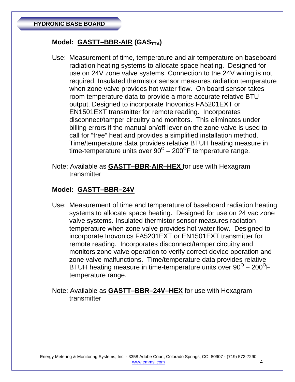# Model: **GASTT-BBR-AIR** (GAS<sub>TTA</sub>)

- Use: Measurement of time, temperature and air temperature on baseboard radiation heating systems to allocate space heating. Designed for use on 24V zone valve systems. Connection to the 24V wiring is not required. Insulated thermistor sensor measures radiation temperature when zone valve provides hot water flow. On board sensor takes room temperature data to provide a more accurate relative BTU output. Designed to incorporate Inovonics FA5201EXT or EN1501EXT transmitter for remote reading. Incorporates disconnect/tamper circuitry and monitors. This eliminates under billing errors if the manual on/off lever on the zone valve is used to call for "free" heat and provides a simplified installation method. Time/temperature data provides relative BTUH heating measure in time-temperature units over  $90^{\circ}$  – 200<sup>°</sup>F temperature range.
- Note: Available as **GASTT–BBR-AIR–HEX** for use with Hexagram transmitter

#### **Model: GASTT–BBR–24V**

- Use: Measurement of time and temperature of baseboard radiation heating systems to allocate space heating. Designed for use on 24 vac zone valve systems. Insulated thermistor sensor measures radiation temperature when zone valve provides hot water flow. Designed to incorporate Inovonics FA5201EXT or EN1501EXT transmitter for remote reading. Incorporates disconnect/tamper circuitry and monitors zone valve operation to verify correct device operation and zone valve malfunctions. Time/temperature data provides relative BTUH heating measure in time-temperature units over  $90^{\circ} - 200^{\circ}F$ temperature range.
- Note: Available as **GASTT–BBR–24V–HEX** for use with Hexagram transmitter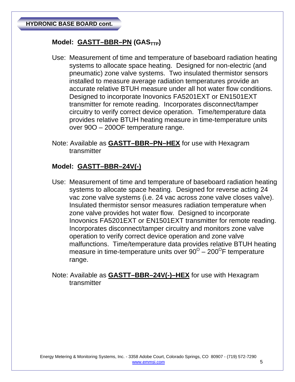# Model: GASTT-BBR-PN (GAS<sub>TTP</sub>)

- Use: Measurement of time and temperature of baseboard radiation heating systems to allocate space heating. Designed for non-electric (and pneumatic) zone valve systems. Two insulated thermistor sensors installed to measure average radiation temperatures provide an accurate relative BTUH measure under all hot water flow conditions. Designed to incorporate Inovonics FA5201EXT or EN1501EXT transmitter for remote reading. Incorporates disconnect/tamper circuitry to verify correct device operation. Time/temperature data provides relative BTUH heating measure in time-temperature units over 90O – 200OF temperature range.
- Note: Available as **GASTT–BBR–PN–HEX** for use with Hexagram transmitter

#### **Model: GASTT–BBR–24V(-)**

- Use: Measurement of time and temperature of baseboard radiation heating systems to allocate space heating. Designed for reverse acting 24 vac zone valve systems (i.e. 24 vac across zone valve closes valve). Insulated thermistor sensor measures radiation temperature when zone valve provides hot water flow. Designed to incorporate Inovonics FA5201EXT or EN1501EXT transmitter for remote reading. Incorporates disconnect/tamper circuitry and monitors zone valve operation to verify correct device operation and zone valve malfunctions. Time/temperature data provides relative BTUH heating measure in time-temperature units over  $90^{\circ}$  –  $200^{\circ}$ F temperature range.
- Note: Available as **GASTT–BBR–24V(-)–HEX** for use with Hexagram transmitter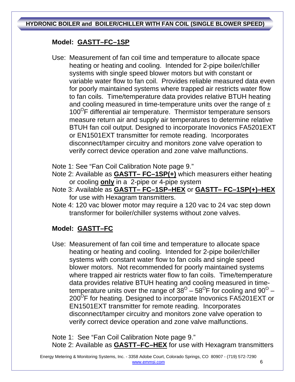**HYDRONIC BOILER and BOILER/CHILLER WITH FAN COIL (SINGLE BLOWER SPEED)** 

# **Model: GASTT–FC–1SP**

- Use: Measurement of fan coil time and temperature to allocate space heating or heating and cooling. Intended for 2-pipe boiler/chiller systems with single speed blower motors but with constant or variable water flow to fan coil. Provides reliable measured data even for poorly maintained systems where trapped air restricts water flow to fan coils. Time/temperature data provides relative BTUH heating and cooling measured in time-temperature units over the range of  $\pm$  $100^{\circ}$ F differential air temperature. Thermistor temperature sensors measure return air and supply air temperatures to determine relative BTUH fan coil output. Designed to incorporate Inovonics FA5201EXT or EN1501EXT transmitter for remote reading. Incorporates disconnect/tamper circuitry and monitors zone valve operation to verify correct device operation and zone valve malfunctions.
- Note 1: See "Fan Coil Calibration Note page 9."
- Note 2: Available as **GASTT– FC–1SP(+)** which measurers either heating or cooling **only** in a 2-pipe or 4-pipe system
- Note 3: Available as **GASTT– FC–1SP–HEX** or **GASTT– FC–1SP(+)–HEX** for use with Hexagram transmitters.
- Note 4: 120 vac blower motor may require a 120 vac to 24 vac step down transformer for boiler/chiller systems without zone valves.

# **Model: GASTT–FC**

 Use: Measurement of fan coil time and temperature to allocate space heating or heating and cooling. Intended for 2-pipe boiler/chiller systems with constant water flow to fan coils and single speed blower motors. Not recommended for poorly maintained systems where trapped air restricts water flow to fan coils. Time/temperature data provides relative BTUH heating and cooling measured in timetemperature units over the range of  $38^{\circ}$  –  $58^{\circ}$  F for cooling and  $90^{\circ}$  –  $200^{\circ}$ F for heating. Designed to incorporate Inovonics FA5201EXT or EN1501EXT transmitter for remote reading. Incorporates disconnect/tamper circuitry and monitors zone valve operation to verify correct device operation and zone valve malfunctions.

Note 1: See "Fan Coil Calibration Note page 9." Note 2: Available as **GASTT–FC–HEX** for use with Hexagram transmitters

 Energy Metering & Monitoring Systems, Inc. - 3358 Adobe Court, Colorado Springs, CO 80907 - (719) 572-7290 www.emmsi.com 6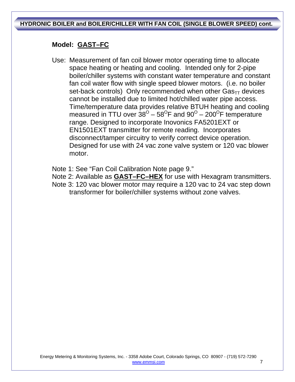**HYDRONIC BOILER and BOILER/CHILLER WITH FAN COIL (SINGLE BLOWER SPEED) cont.** 

## **Model: GAST–FC**

- Use: Measurement of fan coil blower motor operating time to allocate space heating or heating and cooling. Intended only for 2-pipe boiler/chiller systems with constant water temperature and constant fan coil water flow with single speed blower motors. (i.e. no boiler set-back controls) Only recommended when other  $\text{Gas}_{TT}$  devices cannot be installed due to limited hot/chilled water pipe access. Time/temperature data provides relative BTUH heating and cooling measured in TTU over  $38^{\circ}$  –  $58^{\circ}$ F and  $90^{\circ}$  – 200<sup>°</sup>F temperature range. Designed to incorporate Inovonics FA5201EXT or EN1501EXT transmitter for remote reading. Incorporates disconnect/tamper circuitry to verify correct device operation. Designed for use with 24 vac zone valve system or 120 vac blower motor.
- Note 1: See "Fan Coil Calibration Note page 9."
- Note 2: Available as **GAST–FC–HEX** for use with Hexagram transmitters.
- Note 3: 120 vac blower motor may require a 120 vac to 24 vac step down transformer for boiler/chiller systems without zone valves.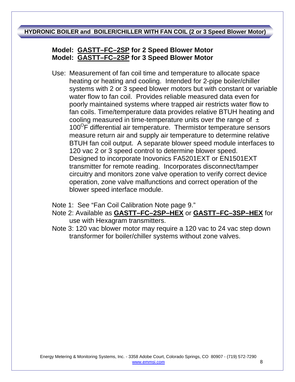### **HYDRONIC BOILER and BOILER/CHILLER WITH FAN COIL (2 or 3 Speed Blower Motor)**

# **Model: GASTT–FC–2SP for 2 Speed Blower Motor Model: GASTT–FC–2SP for 3 Speed Blower Motor**

Use: Measurement of fan coil time and temperature to allocate space heating or heating and cooling. Intended for 2-pipe boiler/chiller systems with 2 or 3 speed blower motors but with constant or variable water flow to fan coil. Provides reliable measured data even for poorly maintained systems where trapped air restricts water flow to fan coils. Time/temperature data provides relative BTUH heating and cooling measured in time-temperature units over the range of  $\pm$  $100^{\circ}$ F differential air temperature. Thermistor temperature sensors measure return air and supply air temperature to determine relative BTUH fan coil output. A separate blower speed module interfaces to 120 vac 2 or 3 speed control to determine blower speed. Designed to incorporate Inovonics FA5201EXT or EN1501EXT transmitter for remote reading. Incorporates disconnect/tamper circuitry and monitors zone valve operation to verify correct device operation, zone valve malfunctions and correct operation of the blower speed interface module.

Note 1: See "Fan Coil Calibration Note page 9."

- Note 2: Available as **GASTT–FC–2SP–HEX** or **GASTT–FC–3SP–HEX** for use with Hexagram transmitters.
- Note 3: 120 vac blower motor may require a 120 vac to 24 vac step down transformer for boiler/chiller systems without zone valves.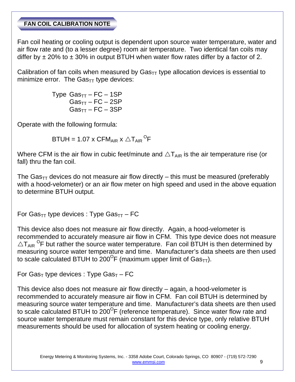#### **FAN COIL CALIBRATION NOTE**

Fan coil heating or cooling output is dependent upon source water temperature, water and air flow rate and (to a lesser degree) room air temperature. Two identical fan coils may differ by  $\pm$  20% to  $\pm$  30% in output BTUH when water flow rates differ by a factor of 2.

Calibration of fan coils when measured by  $\text{Gas}_{TT}$  type allocation devices is essential to minimize error. The  $Gas_{TT}$  type devices:

> Type  $Gas_{TT}$  – FC – 1SP  $Gas_{TT}$  – FC – 2SP  $Gas<sub>TT</sub> - FC - 3SP$

Operate with the following formula:

 $\mathsf{BTUH} = 1.07 \times \mathsf{CFM}_{\mathsf{AIR}} \times \triangle \mathsf{T}_{\mathsf{AIR}}\mathsf{^{\mathsf{O}}}\mathsf{F}$ 

Where CFM is the air flow in cubic feet/minute and  $\Delta T_{AB}$  is the air temperature rise (or fall) thru the fan coil.

The Gas<sub>TT</sub> devices do not measure air flow directly – this must be measured (preferably with a hood-velometer) or an air flow meter on high speed and used in the above equation to determine BTUH output.

For Gas $_{TT}$  type devices : Type Gas $_{TT}$  – FC

This device also does not measure air flow directly. Again, a hood-velometer is recommended to accurately measure air flow in CFM. This type device does not measure  $\triangle T_{\text{AIR}}$  <sup>O</sup>F but rather the source water temperature. Fan coil BTUH is then determined by measuring source water temperature and time. Manufacturer's data sheets are then used to scale calculated BTUH to 200<sup>o</sup>F (maximum upper limit of  $Gas_{TT}$ ).

For Gas<sub>T</sub> type devices : Type Gas<sub>T</sub> – FC

This device also does not measure air flow directly – again, a hood-velometer is recommended to accurately measure air flow in CFM. Fan coil BTUH is determined by measuring source water temperature and time. Manufacturer's data sheets are then used to scale calculated BTUH to  $200^{\circ}$ F (reference temperature). Since water flow rate and source water temperature must remain constant for this device type, only relative BTUH measurements should be used for allocation of system heating or cooling energy.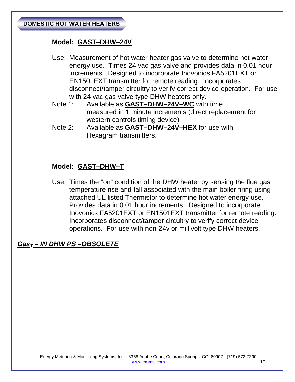### **Model: GAST–DHW–24V**

- Use: Measurement of hot water heater gas valve to determine hot water energy use. Times 24 vac gas valve and provides data in 0.01 hour increments. Designed to incorporate Inovonics FA5201EXT or EN1501EXT transmitter for remote reading. Incorporates disconnect/tamper circuitry to verify correct device operation. For use with 24 vac gas valve type DHW heaters only.
- Note 1: Available as **GAST–DHW–24V–WC** with time measured in 1 minute increments (direct replacement for western controls timing device)
- Note 2: Available as **GAST–DHW–24V–HEX** for use with Hexagram transmitters.

# **Model: GAST–DHW–T**

Use: Times the "on" condition of the DHW heater by sensing the flue gas temperature rise and fall associated with the main boiler firing using attached UL listed Thermistor to determine hot water energy use. Provides data in 0.01 hour increments. Designed to incorporate Inovonics FA5201EXT or EN1501EXT transmitter for remote reading. Incorporates disconnect/tamper circuitry to verify correct device operations. For use with non-24v or millivolt type DHW heaters.

# *GasT – IN DHW PS –OBSOLETE*